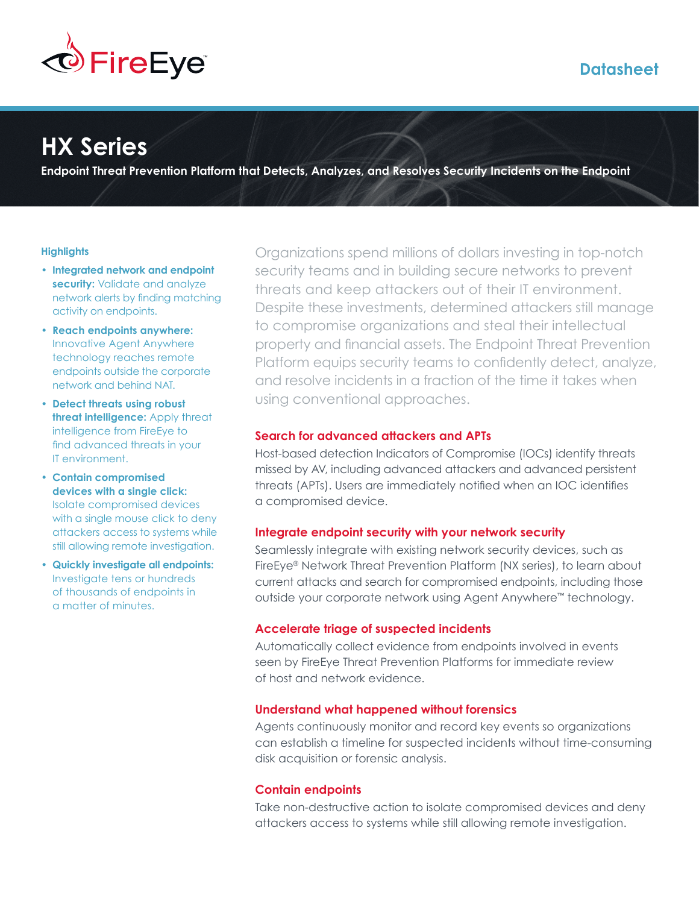

# **Datasheet**

# **HX Series**

**Endpoint Threat Prevention Platform that Detects, Analyzes, and Resolves Security Incidents on the Endpoint**

#### **Highlights**

- **Integrated network and endpoint security:** Validate and analyze network alerts by finding matching activity on endpoints.
- **Reach endpoints anywhere:** Innovative Agent Anywhere technology reaches remote endpoints outside the corporate network and behind NAT.
- **Detect threats using robust threat intelligence:** Apply threat intelligence from FireEye to find advanced threats in your IT environment.
- **Contain compromised devices with a single click:** Isolate compromised devices with a single mouse click to deny attackers access to systems while still allowing remote investigation.
- **Quickly investigate all endpoints:** Investigate tens or hundreds of thousands of endpoints in a matter of minutes.

Organizations spend millions of dollars investing in top-notch security teams and in building secure networks to prevent threats and keep attackers out of their IT environment. Despite these investments, determined attackers still manage to compromise organizations and steal their intellectual property and financial assets. The Endpoint Threat Prevention Platform equips security teams to confidently detect, analyze, and resolve incidents in a fraction of the time it takes when using conventional approaches.

# **Search for advanced attackers and APTs**

Host-based detection Indicators of Compromise (IOCs) identify threats missed by AV, including advanced attackers and advanced persistent threats (APTs). Users are immediately notified when an IOC identifies a compromised device.

#### **Integrate endpoint security with your network security**

Seamlessly integrate with existing network security devices, such as FireEye® Network Threat Prevention Platform (NX series), to learn about current attacks and search for compromised endpoints, including those outside your corporate network using Agent Anywhere™ technology.

#### **Accelerate triage of suspected incidents**

Automatically collect evidence from endpoints involved in events seen by FireEye Threat Prevention Platforms for immediate review of host and network evidence.

#### **Understand what happened without forensics**

Agents continuously monitor and record key events so organizations can establish a timeline for suspected incidents without time-consuming disk acquisition or forensic analysis.

# **Contain endpoints**

Take non-destructive action to isolate compromised devices and deny attackers access to systems while still allowing remote investigation.